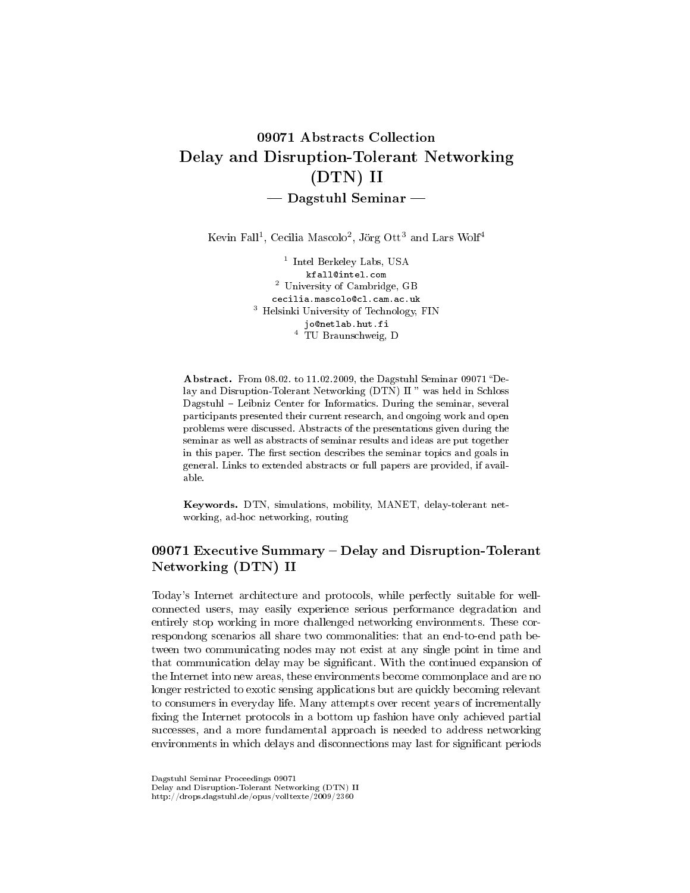# 09071 Abstracts Collection Delay and Disruption-Tolerant Networking (DTN) II  $-$  Dagstuhl Seminar  $-$

Kevin Fall<sup>1</sup>, Cecilia Mascolo<sup>2</sup>, Jörg Ott<sup>3</sup> and Lars Wolf<sup>4</sup>

1 Intel Berkeley Labs, USA kfall@intel.com <sup>2</sup> University of Cambridge, GB cecilia.mascolo@cl.cam.ac.uk <sup>3</sup> Helsinki University of Technology, FIN jo@netlab.hut.fi <sup>4</sup> TU Braunschweig, D

Abstract. From 08.02. to 11.02.2009, the Dagstuhl Seminar 09071 "Delay and Disruption-Tolerant Networking (DTN) II" was held in Schloss Dagstuhl - Leibniz Center for Informatics. During the seminar, several participants presented their current research, and ongoing work and open problems were discussed. Abstracts of the presentations given during the seminar as well as abstracts of seminar results and ideas are put together in this paper. The first section describes the seminar topics and goals in general. Links to extended abstracts or full papers are provided, if available.

Keywords. DTN, simulations, mobility, MANET, delay-tolerant networking, ad-hoc networking, routing

# 09071 Executive Summary - Delay and Disruption-Tolerant Networking (DTN) II

Today's Internet architecture and protocols, while perfectly suitable for wellconnected users, may easily experience serious performance degradation and entirely stop working in more challenged networking environments. These correspondong scenarios all share two commonalities: that an end-to-end path between two communicating nodes may not exist at any single point in time and that communication delay may be significant. With the continued expansion of the Internet into new areas, these environments become commonplace and are no longer restricted to exotic sensing applications but are quickly becoming relevant to consumers in everyday life. Many attempts over recent years of incrementally fixing the Internet protocols in a bottom up fashion have only achieved partial successes, and a more fundamental approach is needed to address networking environments in which delays and disconnections may last for significant periods

Dagstuhl Seminar Proceedings 09071 Delay and Disruption-Tolerant Networking (DTN) II http://drops.dagstuhl.de/opus/volltexte/2009/2360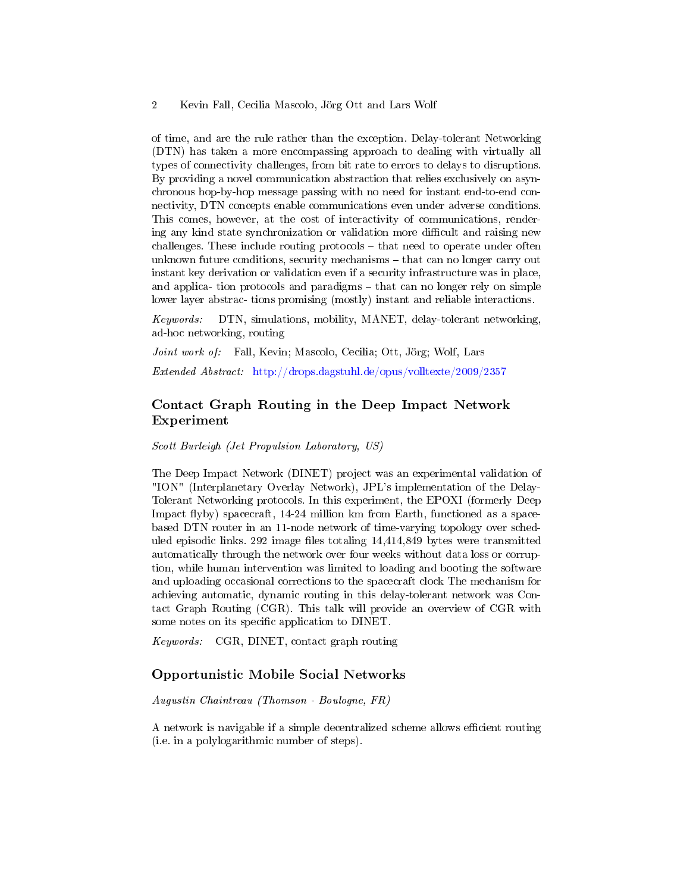of time, and are the rule rather than the exception. Delay-tolerant Networking (DTN) has taken a more encompassing approach to dealing with virtually all types of connectivity challenges, from bit rate to errors to delays to disruptions. By providing a novel communication abstraction that relies exclusively on asynchronous hop-by-hop message passing with no need for instant end-to-end connectivity, DTN concepts enable communications even under adverse conditions. This comes, however, at the cost of interactivity of communications, rendering any kind state synchronization or validation more difficult and raising new  $challenges. These include routing protocols – that need to operate under often$ unknown future conditions, security mechanisms  $-\text{ that can no longer carry out}$ instant key derivation or validation even if a security infrastructure was in place, and applica- tion protocols and paradigms  $-$  that can no longer rely on simple lower layer abstrac- tions promising (mostly) instant and reliable interactions.

Keywords: DTN, simulations, mobility, MANET, delay-tolerant networking, ad-hoc networking, routing

Joint work of: Fall, Kevin; Mascolo, Cecilia; Ott, Jörg; Wolf, Lars

Extended Abstract: <http://drops.dagstuhl.de/opus/volltexte/2009/2357>

# Contact Graph Routing in the Deep Impact Network Experiment

Scott Burleigh (Jet Propulsion Laboratory, US)

The Deep Impact Network (DINET) project was an experimental validation of "ION" (Interplanetary Overlay Network), JPL's implementation of the Delay-Tolerant Networking protocols. In this experiment, the EPOXI (formerly Deep Impact flyby) spacecraft, 14-24 million km from Earth, functioned as a spacebased DTN router in an 11-node network of time-varying topology over scheduled episodic links. 292 image files totaling  $14,414,849$  bytes were transmitted automatically through the network over four weeks without data loss or corruption, while human intervention was limited to loading and booting the software and uploading occasional corrections to the spacecraft clock The mechanism for achieving automatic, dynamic routing in this delay-tolerant network was Contact Graph Routing (CGR). This talk will provide an overview of CGR with some notes on its specific application to DINET.

Keywords: CGR, DINET, contact graph routing

#### Opportunistic Mobile Social Networks

Augustin Chaintreau (Thomson - Boulogne, FR)

A network is navigable if a simple decentralized scheme allows efficient routing (i.e. in a polylogarithmic number of steps).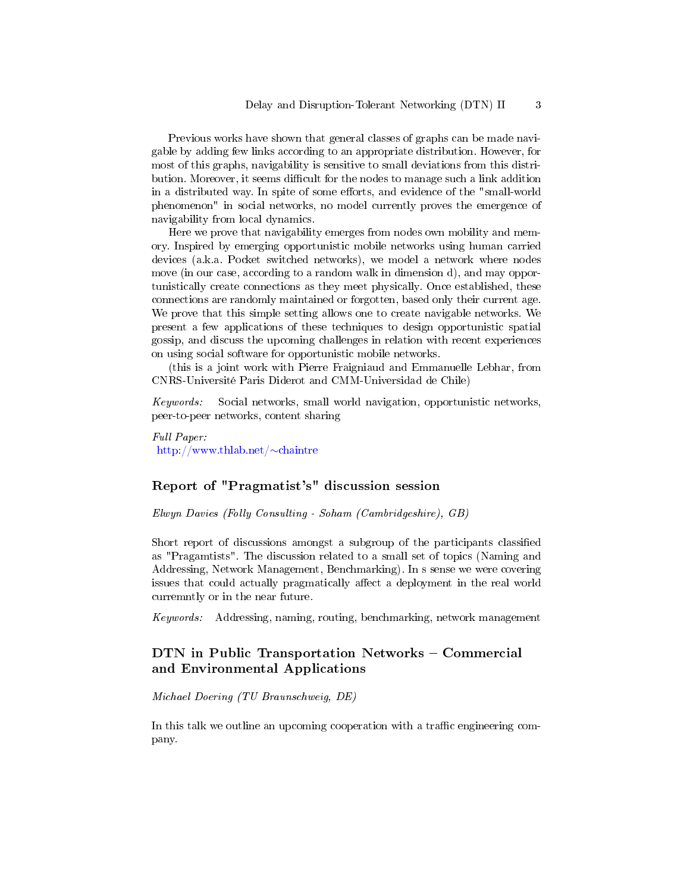Previous works have shown that general classes of graphs can be made navigable by adding few links according to an appropriate distribution. However, for most of this graphs, navigability is sensitive to small deviations from this distribution. Moreover, it seems difficult for the nodes to manage such a link addition in a distributed way. In spite of some efforts, and evidence of the "small-world phenomenon" in social networks, no model currently proves the emergence of navigability from local dynamics.

Here we prove that navigability emerges from nodes own mobility and memory. Inspired by emerging opportunistic mobile networks using human carried devices (a.k.a. Pocket switched networks), we model a network where nodes move (in our case, according to a random walk in dimension d), and may opportunistically create connections as they meet physically. Once established, these connections are randomly maintained or forgotten, based only their current age. We prove that this simple setting allows one to create navigable networks. We present a few applications of these techniques to design opportunistic spatial gossip, and discuss the upcoming challenges in relation with recent experiences on using social software for opportunistic mobile networks.

(this is a joint work with Pierre Fraigniaud and Emmanuelle Lebhar, from CNRS-Université Paris Diderot and CMM-Universidad de Chile)

Keywords: Social networks, small world navigation, opportunistic networks, peer-to-peer networks, content sharing

Full Paper: [http://www.thlab.net/](http://www.thlab.net/~chaintre)∼chaintre

# Report of "Pragmatist's" discussion session

Elwyn Davies (Folly Consulting - Soham (Cambridgeshire), GB)

Short report of discussions amongst a subgroup of the participants classified as "Pragamtists". The discussion related to a small set of topics (Naming and Addressing, Network Management, Benchmarking). In s sense we were covering issues that could actually pragmatically affect a deployment in the real world curremntly or in the near future.

Keywords: Addressing, naming, routing, benchmarking, network management

# DTN in Public Transportation Networks - Commercial and Environmental Applications

Michael Doering (TU Braunschweig, DE)

In this talk we outline an upcoming cooperation with a traffic engineering company.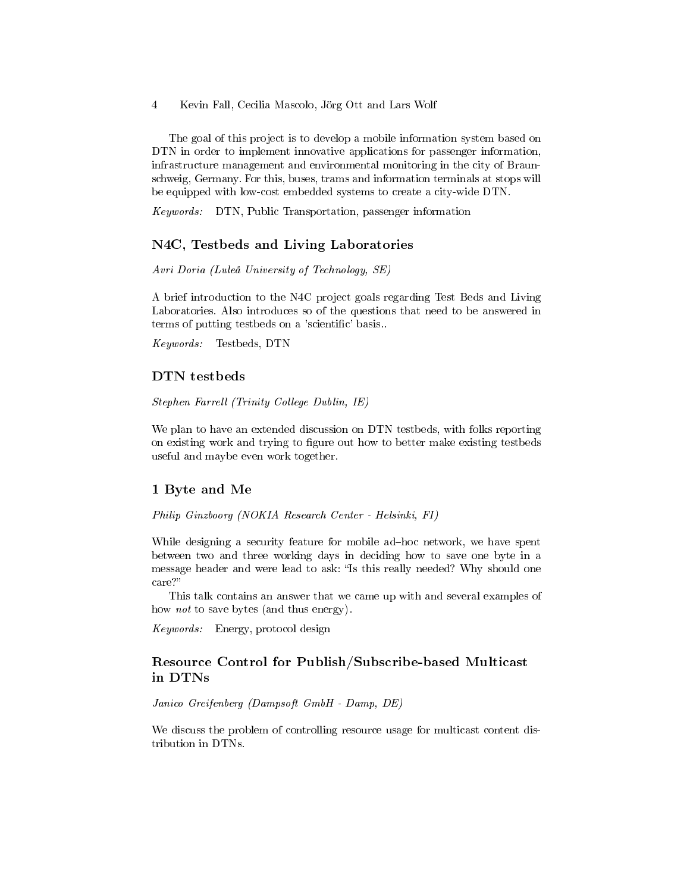The goal of this project is to develop a mobile information system based on DTN in order to implement innovative applications for passenger information, infrastructure management and environmental monitoring in the city of Braunschweig, Germany. For this, buses, trams and information terminals at stops will be equipped with low-cost embedded systems to create a city-wide DTN.

Keywords: DTN, Public Transportation, passenger information

#### N4C, Testbeds and Living Laboratories

Avri Doria (Luleå University of Technology, SE)

A brief introduction to the N4C project goals regarding Test Beds and Living Laboratories. Also introduces so of the questions that need to be answered in terms of putting testbeds on a 'scientific' basis...

Keywords: Testbeds, DTN

#### DTN testbeds

Stephen Farrell (Trinity College Dublin, IE)

We plan to have an extended discussion on DTN testbeds, with folks reporting on existing work and trying to figure out how to better make existing testbeds useful and maybe even work together.

#### 1 Byte and Me

Philip Ginzboorg (NOKIA Research Center - Helsinki, FI)

While designing a security feature for mobile ad-hoc network, we have spent between two and three working days in deciding how to save one byte in a message header and were lead to ask: "Is this really needed? Why should one care?

This talk contains an answer that we came up with and several examples of how *not* to save bytes (and thus energy).

Keywords: Energy, protocol design

# Resource Control for Publish/Subscribe-based Multicast in DTNs

Janico Greifenberg (Dampsoft GmbH - Damp, DE)

We discuss the problem of controlling resource usage for multicast content distribution in DTNs.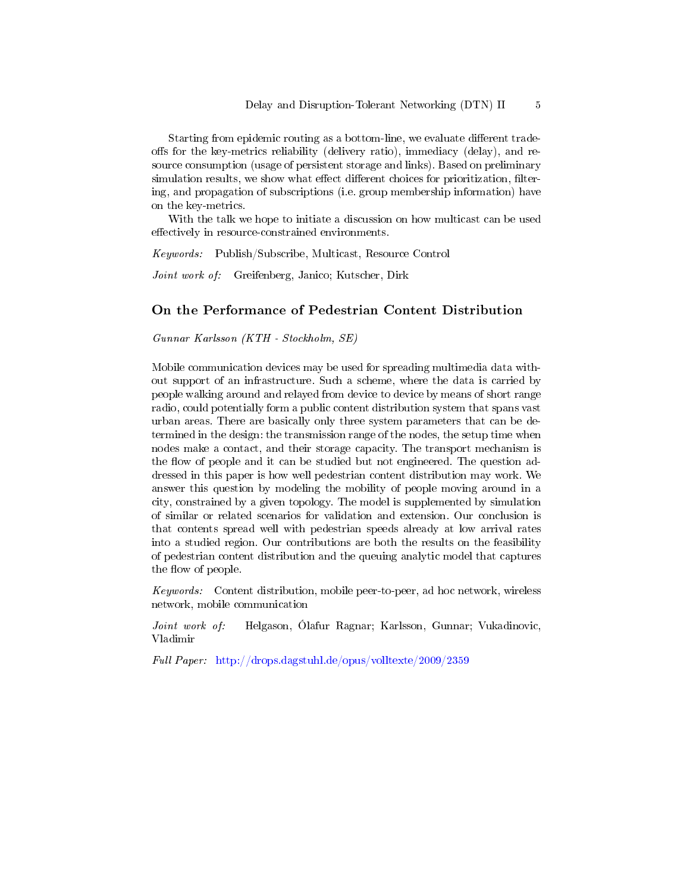Starting from epidemic routing as a bottom-line, we evaluate different tradeoffs for the key-metrics reliability (delivery ratio), immediacy (delay), and resource consumption (usage of persistent storage and links). Based on preliminary simulation results, we show what effect different choices for prioritization, filtering, and propagation of subscriptions (i.e. group membership information) have on the key-metrics.

With the talk we hope to initiate a discussion on how multicast can be used effectively in resource-constrained environments.

Keywords: Publish/Subscribe, Multicast, Resource Control

Joint work of: Greifenberg, Janico; Kutscher, Dirk

# On the Performance of Pedestrian Content Distribution

Gunnar Karlsson (KTH - Stockholm, SE)

Mobile communication devices may be used for spreading multimedia data without support of an infrastructure. Such a scheme, where the data is carried by people walking around and relayed from device to device by means of short range radio, could potentially form a public content distribution system that spans vast urban areas. There are basically only three system parameters that can be determined in the design: the transmission range of the nodes, the setup time when nodes make a contact, and their storage capacity. The transport mechanism is the flow of people and it can be studied but not engineered. The question addressed in this paper is how well pedestrian content distribution may work. We answer this question by modeling the mobility of people moving around in a city, constrained by a given topology. The model is supplemented by simulation of similar or related scenarios for validation and extension. Our conclusion is that contents spread well with pedestrian speeds already at low arrival rates into a studied region. Our contributions are both the results on the feasibility of pedestrian content distribution and the queuing analytic model that captures the flow of people.

Keywords: Content distribution, mobile peer-to-peer, ad hoc network, wireless network, mobile communication

Joint work of: Helgason, Ólafur Ragnar; Karlsson, Gunnar; Vukadinovic, Vladimir

Full Paper: <http://drops.dagstuhl.de/opus/volltexte/2009/2359>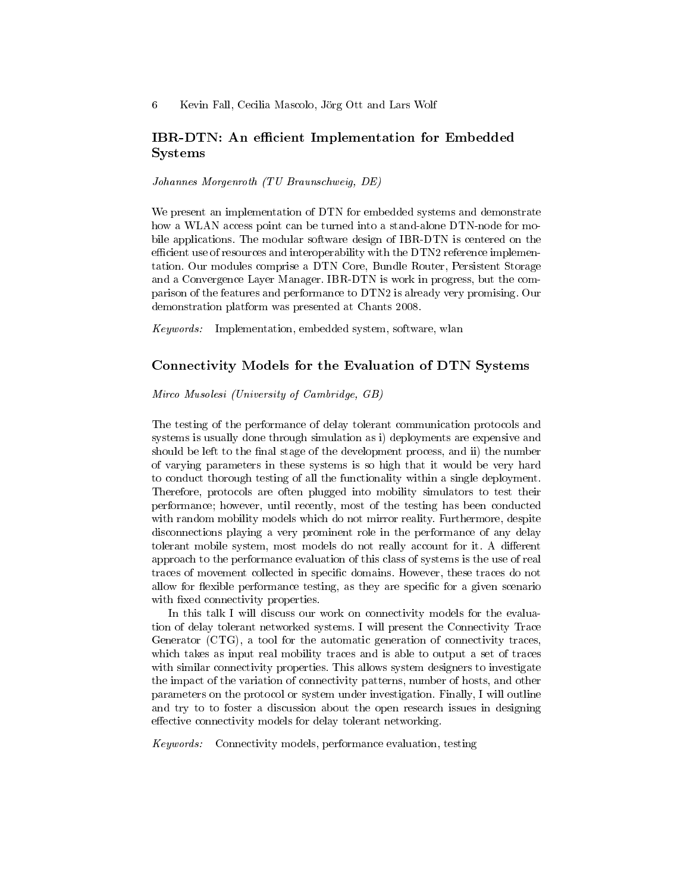# IBR-DTN: An efficient Implementation for Embedded Systems

Johannes Morgenroth (TU Braunschweig, DE)

We present an implementation of DTN for embedded systems and demonstrate how a WLAN access point can be turned into a stand-alone DTN-node for mobile applications. The modular software design of IBR-DTN is centered on the efficient use of resources and interoperability with the DTN2 reference implementation. Our modules comprise a DTN Core, Bundle Router, Persistent Storage and a Convergence Layer Manager. IBR-DTN is work in progress, but the comparison of the features and performance to DTN2 is already very promising. Our demonstration platform was presented at Chants 2008.

Keywords: Implementation, embedded system, software, wlan

## Connectivity Models for the Evaluation of DTN Systems

#### Mirco Musolesi (University of Cambridge, GB)

The testing of the performance of delay tolerant communication protocols and systems is usually done through simulation as i) deployments are expensive and should be left to the final stage of the development process, and ii) the number of varying parameters in these systems is so high that it would be very hard to conduct thorough testing of all the functionality within a single deployment. Therefore, protocols are often plugged into mobility simulators to test their performance; however, until recently, most of the testing has been conducted with random mobility models which do not mirror reality. Furthermore, despite disconnections playing a very prominent role in the performance of any delay tolerant mobile system, most models do not really account for it. A different approach to the performance evaluation of this class of systems is the use of real traces of movement collected in specific domains. However, these traces do not allow for flexible performance testing, as they are specific for a given scenario with fixed connectivity properties.

In this talk I will discuss our work on connectivity models for the evaluation of delay tolerant networked systems. I will present the Connectivity Trace Generator (CTG), a tool for the automatic generation of connectivity traces, which takes as input real mobility traces and is able to output a set of traces with similar connectivity properties. This allows system designers to investigate the impact of the variation of connectivity patterns, number of hosts, and other parameters on the protocol or system under investigation. Finally, I will outline and try to to foster a discussion about the open research issues in designing effective connectivity models for delay tolerant networking.

Keywords: Connectivity models, performance evaluation, testing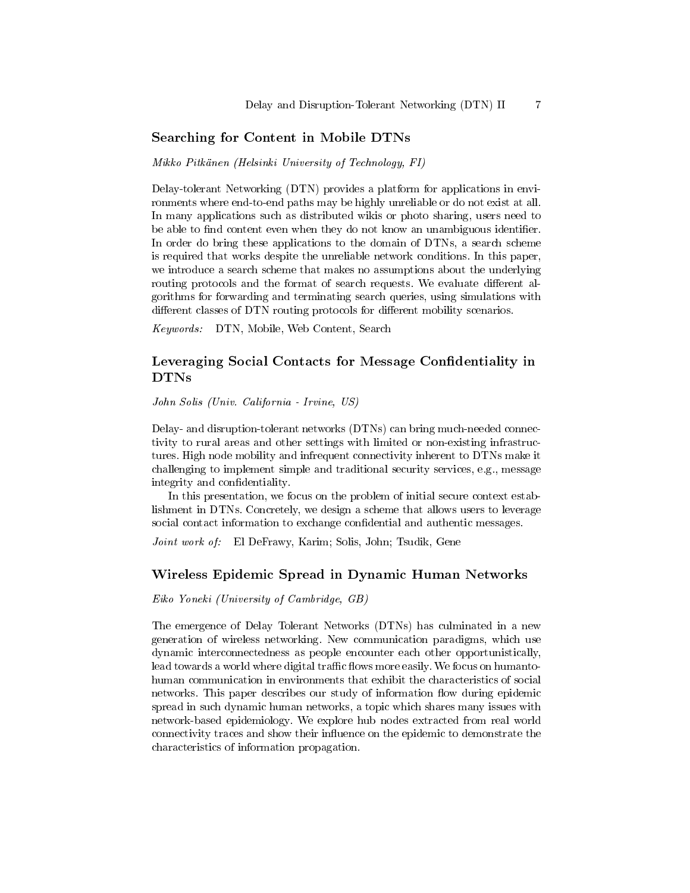#### Searching for Content in Mobile DTNs

Mikko Pitkänen (Helsinki University of Technology, FI)

Delay-tolerant Networking (DTN) provides a platform for applications in environments where end-to-end paths may be highly unreliable or do not exist at all. In many applications such as distributed wikis or photo sharing, users need to be able to find content even when they do not know an unambiguous identifier. In order do bring these applications to the domain of DTNs, a search scheme is required that works despite the unreliable network conditions. In this paper, we introduce a search scheme that makes no assumptions about the underlying routing protocols and the format of search requests. We evaluate different algorithms for forwarding and terminating search queries, using simulations with different classes of DTN routing protocols for different mobility scenarios.

Keywords: DTN, Mobile, Web Content, Search

# Leveraging Social Contacts for Message Confidentiality in DTNs

John Solis (Univ. California - Irvine, US)

Delay- and disruption-tolerant networks (DTNs) can bring much-needed connectivity to rural areas and other settings with limited or non-existing infrastructures. High node mobility and infrequent connectivity inherent to DTNs make it challenging to implement simple and traditional security services, e.g., message integrity and confidentiality.

In this presentation, we focus on the problem of initial secure context establishment in DTNs. Concretely, we design a scheme that allows users to leverage social contact information to exchange confidential and authentic messages.

Joint work of: El DeFrawy, Karim; Solis, John; Tsudik, Gene

#### Wireless Epidemic Spread in Dynamic Human Networks

Eiko Yoneki (University of Cambridge, GB)

The emergence of Delay Tolerant Networks (DTNs) has culminated in a new generation of wireless networking. New communication paradigms, which use dynamic interconnectedness as people encounter each other opportunistically, lead towards a world where digital traffic flows more easily. We focus on humantohuman communication in environments that exhibit the characteristics of social networks. This paper describes our study of information flow during epidemic spread in such dynamic human networks, a topic which shares many issues with network-based epidemiology. We explore hub nodes extracted from real world connectivity traces and show their influence on the epidemic to demonstrate the characteristics of information propagation.